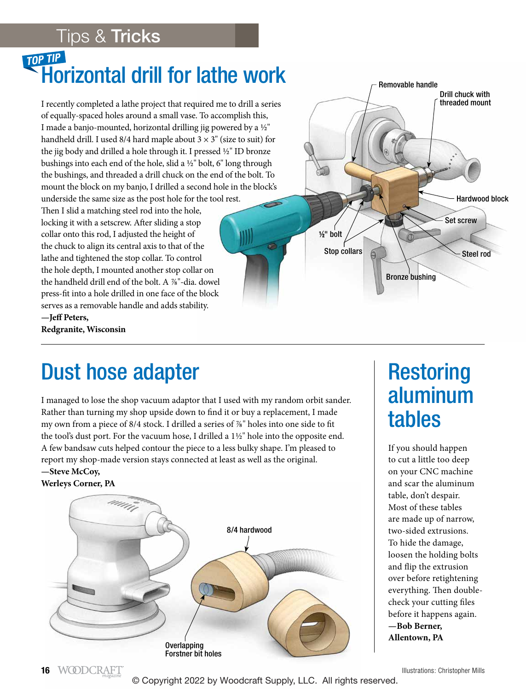#### Tips & Tricks

# **TOP TIP**<br>Horizontal drill for lathe work

I recently completed a lathe project that required me to drill a series of equally-spaced holes around a small vase. To accomplish this, I made a banjo-mounted, horizontal drilling jig powered by a 1/2" handheld drill. I used 8/4 hard maple about  $3 \times 3$ " (size to suit) for the jig body and drilled a hole through it. I pressed  $\frac{1}{2}$ " ID bronze bushings into each end of the hole, slid a  $1/2$ " bolt, 6" long through the bushings, and threaded a drill chuck on the end of the bolt. To mount the block on my banjo, I drilled a second hole in the block's underside the same size as the post hole for the tool rest. Then I slid a matching steel rod into the hole, locking it with a setscrew. After sliding a stop collar onto this rod, I adjusted the height of the chuck to align its central axis to that of the lathe and tightened the stop collar. To control the hole depth, I mounted another stop collar on the handheld drill end of the bolt. A %"-dia. dowel

press-fit into a hole drilled in one face of the block serves as a removable handle and adds stability. **—Jeff Peters, Redgranite, Wisconsin**



### Dust hose adapter

I managed to lose the shop vacuum adaptor that I used with my random orbit sander. Rather than turning my shop upside down to find it or buy a replacement, I made my own from a piece of 8/4 stock. I drilled a series of %" holes into one side to fit the tool's dust port. For the vacuum hose, I drilled a  $1\frac{1}{2}$ " hole into the opposite end. A few bandsaw cuts helped contour the piece to a less bulky shape. I'm pleased to report my shop-made version stays connected at least as well as the original. **—Steve McCoy,**

#### **Werleys Corner, PA**



### **Restoring** aluminum tables

If you should happen to cut a little too deep on your CNC machine and scar the aluminum table, don't despair. Most of these tables are made up of narrow, two-sided extrusions. To hide the damage, loosen the holding bolts and flip the extrusion over before retightening everything. Then doublecheck your cutting files before it happens again. **—Bob Berner, Allentown, PA**

Illustrations: Christopher Mills

<sup>©</sup> Copyright 2022 by Woodcraft Supply, LLC. All rights reserved.